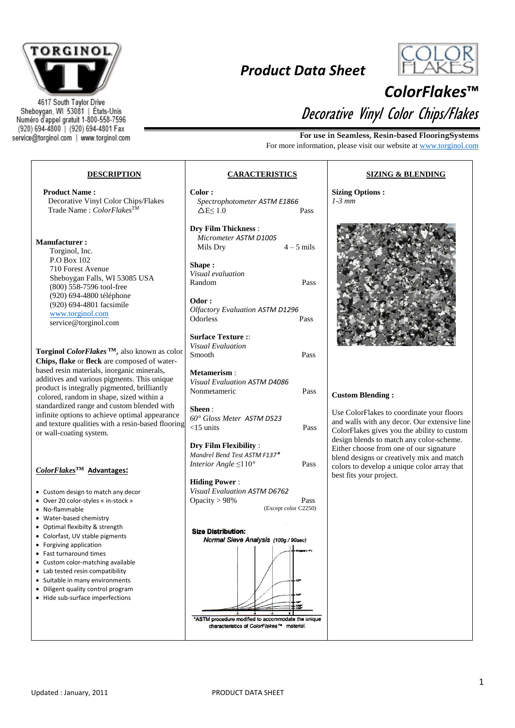

4617 South Taylor Drive Sheboygan, WI 53081 | États-Unis Numéro d'appel gratuit 1-800-558-7596 (920) 694-4800 | (920) 694-4801 Fax service@torginol.com | www.torginol.com

## *Product Data Sheet*



## *ColorFlakes***™** Decorative Vinyl Color Chips/Flakes

**For use in Seamless, Resin-based FlooringSystems** For more information, please visit our website at [www.torginol.com](http://www.torginol.com/)

## **DESCRIPTION CARACTERISTICS SIZING & BLENDING Product Name : Color : Sizing Options :** Decorative Vinyl Color Chips/Flakes *Spectrophotometer ASTM E1866 1-3 mm* Trade Name : *ColorFlakesTM*  $\Delta E \leq 1.0$  Pass **Dry Film Thickness** : *Micrometer ASTM D1005* **Manufacturer :** Mils Dry  $4 - 5$  mils Torginol, Inc. P.O Box 102 **Shape :** 710 Forest Avenue *Visual evaluation* Sheboygan Falls, WI 53085 USA Random Pass (800) 558-7596 tool-free (920) 694-4800 téléphone **Odor :** (920) 694-4801 facsimile *Olfactory Evaluation ASTM D1296* [www.torginol.com](http://www.torginol.com/) Odorless<sup>1</sup> [service@torginol.com](mailto:service@torginol.com) **Surface Texture :**: *Visual Evaluation* **Torginol** *ColorFlakes* **TM**, also known as color Smooth Pass **Chips, flake** or **fleck** are composed of waterbased resin materials, inorganic minerals, **Metamerism** : additives and various pigments. This unique *Visual Evaluation ASTM D4086* product is integrally pigmented, brilliantly Nonmetameric Pass **Custom Blending :** colored, random in shape, sized within a standardized range and custom blended with **Sheen** : Use ColorFlakes to coordinate your floors infinite options to achieve optimal appearance *60° Gloss Meter ASTM D523* and walls with any decor. Our extensive line and texture qualities with a resin-based flooring <15 units Pass ColorFlakes gives you the ability to custom or wall-coating system. design blends to match any color-scheme. **Dry Film Flexibility** : Either choose from one of our signature *Mandrel Bend Test ASTM F137\** blend designs or creatively mix and match *Interior Angle* ≤110<sup>°</sup> Pass colors to develop a unique color array that *ColorFlakes***TM Advantages:** best fits your project. **Hiding Power** : *Visual Evaluation ASTM D6762* Custom design to match any decor Over 20 color-styles « in-stock » Opacity > 98% Pass (Except color C2250) No-flammable Water-based chemistry Optimal flexibilty & strength **Size Distribution:**  Colorfast, UV stable pigments Normal Sieve Analysis (100g / 90sec) Forgiving application Fast turnaround times Custom color-matching available • Lab tested resin compatibility • Suitable in many environments Diligent quality control program • Hide sub-surface imperfections \*ASTM procedure modified to accommodate the unique characteristics of ColorFlakes™ material